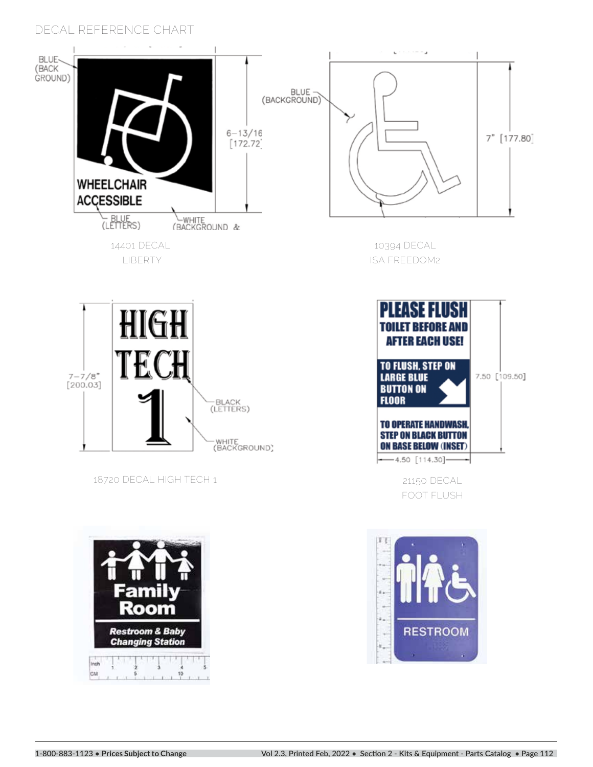



**18720 DECAL HIGH TECH 1**







**FOOT FLUSH**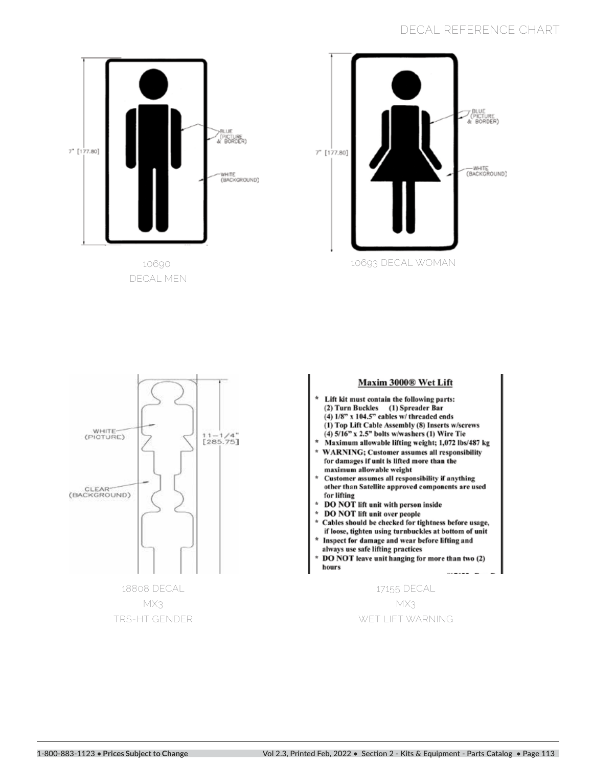

 **DECAL MEN**





**MX3 TRS-HT GENDER**

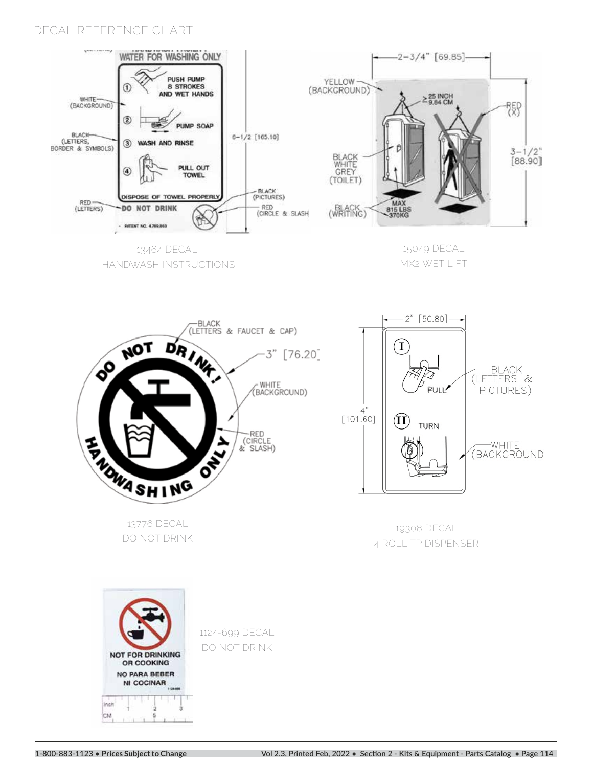

**MX2 WET LIFT** 



 **HANDWASH INSTRUCTIONS** 

**DO NOT DRINK**



**19308 DECAL 4 ROLL TP DISPENSER**



**1124-699 DECAL DO NOT DRINK**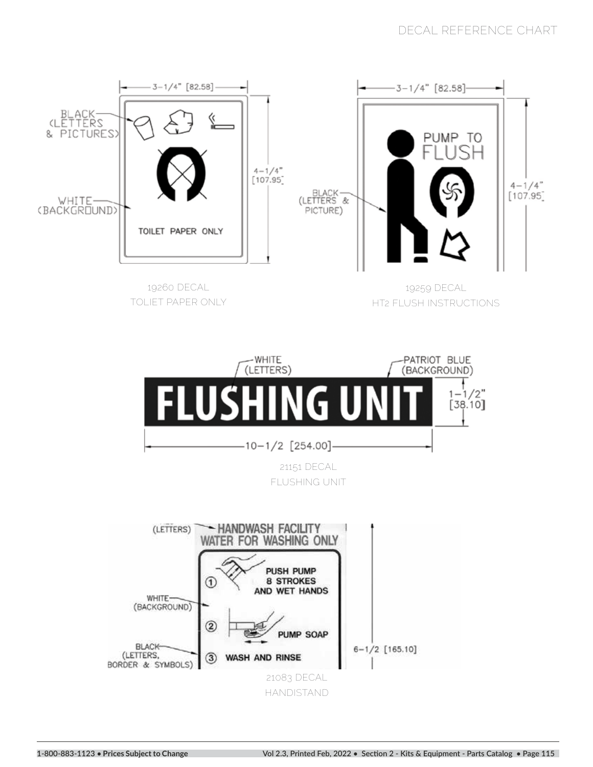